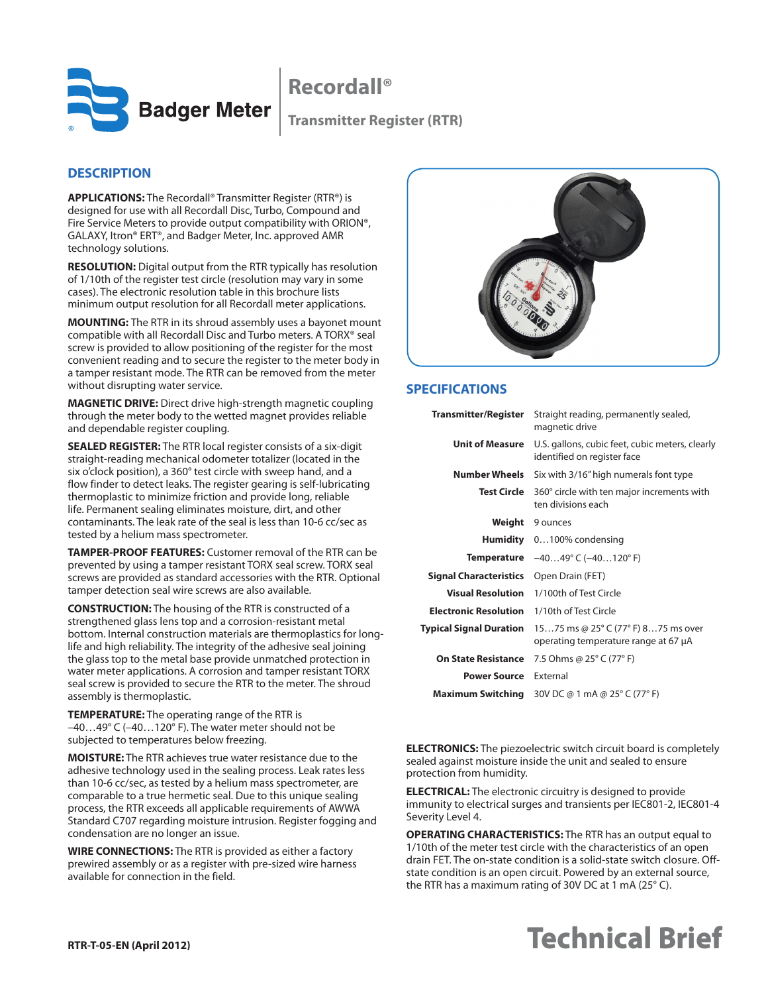

**Recordall®**

## **DESCRIPTION**

**APPLICATIONS:** The Recordall® Transmitter Register (RTR®) is designed for use with all Recordall Disc, Turbo, Compound and Fire Service Meters to provide output compatibility with ORION®, GALAXY, Itron® ERT®, and Badger Meter, Inc. approved AMR technology solutions.

**RESOLUTION:** Digital output from the RTR typically has resolution of 1/10th of the register test circle (resolution may vary in some cases). The electronic resolution table in this brochure lists minimum output resolution for all Recordall meter applications.

**MOUNTING:** The RTR in its shroud assembly uses a bayonet mount compatible with all Recordall Disc and Turbo meters. A TORX® seal screw is provided to allow positioning of the register for the most convenient reading and to secure the register to the meter body in a tamper resistant mode. The RTR can be removed from the meter without disrupting water service.

**MAGNETIC DRIVE:** Direct drive high-strength magnetic coupling through the meter body to the wetted magnet provides reliable and dependable register coupling.

**SEALED REGISTER:** The RTR local register consists of a six-digit straight-reading mechanical odometer totalizer (located in the six o'clock position), a 360° test circle with sweep hand, and a flow finder to detect leaks. The register gearing is self-lubricating thermoplastic to minimize friction and provide long, reliable life. Permanent sealing eliminates moisture, dirt, and other contaminants. The leak rate of the seal is less than 10-6 cc/sec as tested by a helium mass spectrometer.

**TAMPER-PROOF FEATURES:** Customer removal of the RTR can be prevented by using a tamper resistant TORX seal screw. TORX seal screws are provided as standard accessories with the RTR. Optional tamper detection seal wire screws are also available.

**CONSTRUCTION:** The housing of the RTR is constructed of a strengthened glass lens top and a corrosion-resistant metal bottom. Internal construction materials are thermoplastics for longlife and high reliability. The integrity of the adhesive seal joining the glass top to the metal base provide unmatched protection in water meter applications. A corrosion and tamper resistant TORX seal screw is provided to secure the RTR to the meter. The shroud assembly is thermoplastic.

**TEMPERATURE:** The operating range of the RTR is –40…49° C (–40…120° F). The water meter should not be subjected to temperatures below freezing.

**MOISTURE:** The RTR achieves true water resistance due to the adhesive technology used in the sealing process. Leak rates less than 10-6 cc/sec, as tested by a helium mass spectrometer, are comparable to a true hermetic seal. Due to this unique sealing process, the RTR exceeds all applicable requirements of AWWA Standard C707 regarding moisture intrusion. Register fogging and condensation are no longer an issue.

**WIRE CONNECTIONS:** The RTR is provided as either a factory prewired assembly or as a register with pre-sized wire harness available for connection in the field.



## **SPECIFICATIONS**

| Transmitter/Register           | Straight reading, permanently sealed,<br>magnetic drive                        |  |
|--------------------------------|--------------------------------------------------------------------------------|--|
| <b>Unit of Measure</b>         | U.S. gallons, cubic feet, cubic meters, clearly<br>identified on register face |  |
| Number Wheels                  | Six with 3/16" high numerals font type                                         |  |
| Test Circle                    | 360° circle with ten major increments with<br>ten divisions each               |  |
| Weight                         | 9 ounces                                                                       |  |
| Humidity                       | $0100\%$ condensing                                                            |  |
|                                | <b>Temperature</b> $-4049^{\circ}$ C $(-40120^{\circ}$ F)                      |  |
| <b>Signal Characteristics</b>  | Open Drain (FET)                                                               |  |
| <b>Visual Resolution</b>       | 1/100th of Test Circle                                                         |  |
| <b>Electronic Resolution</b>   | 1/10th of Test Circle                                                          |  |
| <b>Typical Signal Duration</b> | 1575 ms @ 25° C (77° F) 875 ms over<br>operating temperature range at 67 µA    |  |
| On State Resistance            | 7.5 Ohms @ 25° C (77° F)                                                       |  |
| <b>Power Source</b>            | <b>Fxternal</b>                                                                |  |
| Maximum Switching              | 30V DC @ 1 mA @ 25° C (77° F)                                                  |  |

**ELECTRONICS:** The piezoelectric switch circuit board is completely sealed against moisture inside the unit and sealed to ensure protection from humidity.

**ELECTRICAL:** The electronic circuitry is designed to provide immunity to electrical surges and transients per IEC801-2, IEC801-4 Severity Level 4.

**OPERATING CHARACTERISTICS:** The RTR has an output equal to 1/10th of the meter test circle with the characteristics of an open drain FET. The on-state condition is a solid-state switch closure. Offstate condition is an open circuit. Powered by an external source, the RTR has a maximum rating of 30V DC at 1 mA (25° C).

# **Technical Brief Technical Brief**